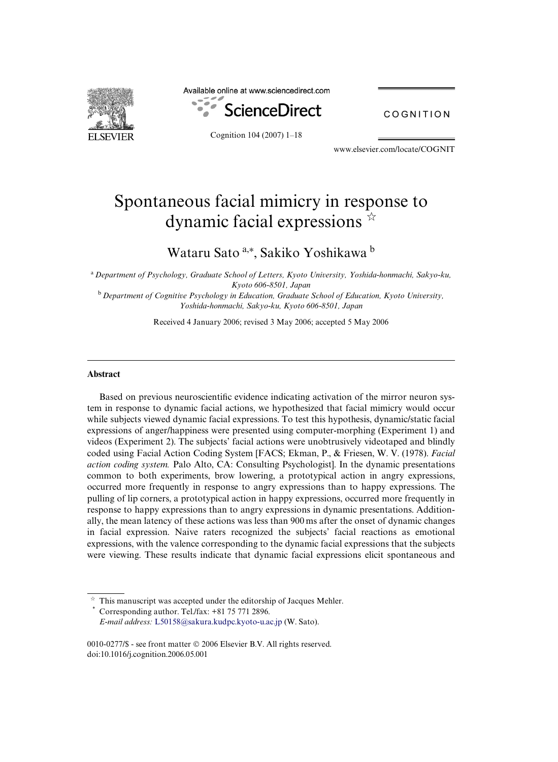

Available online at www.sciencedirect.com



COGNITION

Cognition 104 (2007) 1–18

www.elsevier.com/locate/COGNIT

# Spontaneous facial mimicry in response to dynamic facial expressions  $\overline{\mathbf{r}}$

## Wataru Sato <sup>a,\*</sup>, Sakiko Yoshikawa <sup>b</sup>

<sup>a</sup>*Department of Psychology, Graduate School of Letters, Kyoto University, Yoshida-honmachi, Sakyo-ku, Kyoto 606-8501, Japan*

<sup>b</sup>*Department of Cognitive Psychology in Education, Graduate School of Education, Kyoto University, Yoshida-honmachi, Sakyo-ku, Kyoto 606-8501, Japan*

Received 4 January 2006; revised 3 May 2006; accepted 5 May 2006

#### **Abstract**

Based on previous neuroscientific evidence indicating activation of the mirror neuron system in response to dynamic facial actions, we hypothesized that facial mimicry would occur while subjects viewed dynamic facial expressions. To test this hypothesis, dynamic/static facial expressions of anger/happiness were presented using computer-morphing (Experiment 1) and videos (Experiment 2). The subjects' facial actions were unobtrusively videotaped and blindly coded using Facial Action Coding System [FACS; Ekman, P., & Friesen, W. V. (1978). *Facial action coding system.* Palo Alto, CA: Consulting Psychologist]. In the dynamic presentations common to both experiments, brow lowering, a prototypical action in angry expressions, occurred more frequently in response to angry expressions than to happy expressions. The pulling of lip corners, a prototypical action in happy expressions, occurred more frequently in response to happy expressions than to angry expressions in dynamic presentations. Additionally, the mean latency of these actions was less than 900 ms after the onset of dynamic changes in facial expression. Naive raters recognized the subjects' facial reactions as emotional expressions, with the valence corresponding to the dynamic facial expressions that the subjects were viewing. These results indicate that dynamic facial expressions elicit spontaneous and

 $\tilde{\gamma}^{\Lambda}_{\vec{q}}$  This manuscript was accepted under the editorship of Jacques Mehler. Corresponding author. Tel./fax: +81 75 771 2896. *E-mail address:* [L50158@sakura.kudpc.kyoto-u.ac.jp](mailto: L50158@sakura.kudpc.kyoto-u.ac.jp) (W. Sato).

<sup>0010-0277/\$ -</sup> see front matter © 2006 Elsevier B.V. All rights reserved. doi:10.1016/j.cognition.2006.05.001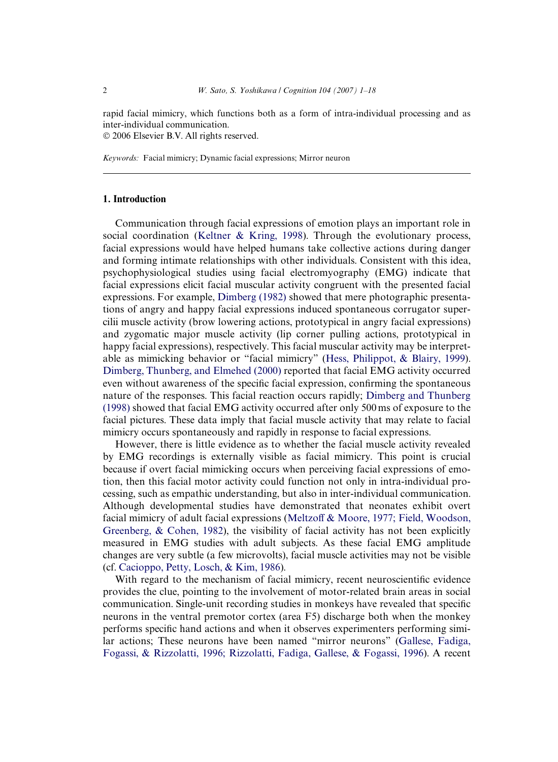rapid facial mimicry, which functions both as a form of intra-individual processing and as inter-individual communication. © 2006 Elsevier B.V. All rights reserved.

*Keywords:* Facial mimicry; Dynamic facial expressions; Mirror neuron

#### **1. Introduction**

Communication through facial expressions of emotion plays an important role in social coordination ([Keltner & Kring, 1998](#page-16-0)). Through the evolutionary process, facial expressions would have helped humans take collective actions during danger and forming intimate relationships with other individuals. Consistent with this idea, psychophysiological studies using facial electromyography (EMG) indicate that facial expressions elicit facial muscular activity congruent with the presented facial expressions. For example, [Dimberg \(1982\)](#page-16-1) showed that mere photographic presentations of angry and happy facial expressions induced spontaneous corrugator supercilii muscle activity (brow lowering actions, prototypical in angry facial expressions) and zygomatic major muscle activity (lip corner pulling actions, prototypical in happy facial expressions), respectively. This facial muscular activity may be interpretable as mimicking behavior or "facial mimicry" ([Hess, Philippot, & Blairy, 1999\)](#page-16-2). [Dimberg, Thunberg, and Elmehed \(2000\)](#page-16-3) reported that facial EMG activity occurred even without awareness of the specific facial expression, confirming the spontaneous nature of the responses. This facial reaction occurs rapidly; [Dimberg and Thunberg](#page-16-4) [\(1998\)](#page-16-4) showed that facial EMG activity occurred after only 500 ms of exposure to the facial pictures. These data imply that facial muscle activity that may relate to facial mimicry occurs spontaneously and rapidly in response to facial expressions.

However, there is little evidence as to whether the facial muscle activity revealed by EMG recordings is externally visible as facial mimicry. This point is crucial because if overt facial mimicking occurs when perceiving facial expressions of emotion, then this facial motor activity could function not only in intra-individual processing, such as empathic understanding, but also in inter-individual communication. Although developmental studies have demonstrated that neonates exhibit overt facial mimicry of adult facial expressions [\(Meltzo](#page-16-5)ff  $&$  Moore, 1977; Field, Woodson, [Greenberg, & Cohen, 1982\)](#page-16-5), the visibility of facial activity has not been explicitly measured in EMG studies with adult subjects. As these facial EMG amplitude changes are very subtle (a few microvolts), facial muscle activities may not be visible (cf. [Cacioppo, Petty, Losch, & Kim, 1986](#page-16-6)).

With regard to the mechanism of facial mimicry, recent neuroscientific evidence provides the clue, pointing to the involvement of motor-related brain areas in social communication. Single-unit recording studies in monkeys have revealed that specific neurons in the ventral premotor cortex (area F5) discharge both when the monkey performs specific hand actions and when it observes experimenters performing similar actions; These neurons have been named "mirror neurons" [\(Gallese, Fadiga,](#page-16-7) [Fogassi, & Rizzolatti, 1996; Rizzolatti, Fadiga, Gallese, & Fogassi, 1996](#page-16-7)). A recent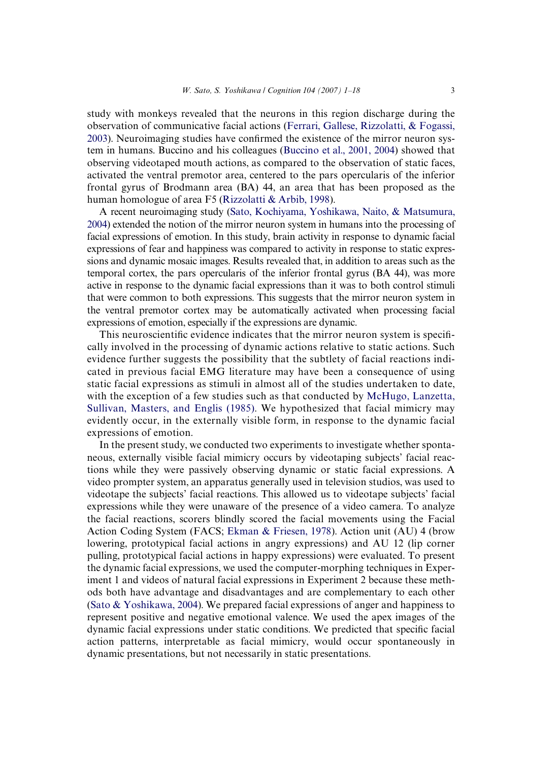study with monkeys revealed that the neurons in this region discharge during the observation of communicative facial actions ([Ferrari, Gallese, Rizzolatti, & Fogassi,](#page-16-8) [2003\)](#page-16-8). Neuroimaging studies have confirmed the existence of the mirror neuron system in humans. Buccino and his colleagues [\(Buccino et al., 2001, 2004](#page-16-9)) showed that observing videotaped mouth actions, as compared to the observation of static faces, activated the ventral premotor area, centered to the pars opercularis of the inferior frontal gyrus of Brodmann area (BA) 44, an area that has been proposed as the human homologue of area F5 [\(Rizzolatti & Arbib, 1998\)](#page-17-0).

A recent neuroimaging study ([Sato, Kochiyama, Yoshikawa, Naito, & Matsumura,](#page-17-1) [2004](#page-17-1)) extended the notion of the mirror neuron system in humans into the processing of facial expressions of emotion. In this study, brain activity in response to dynamic facial expressions of fear and happiness was compared to activity in response to static expressions and dynamic mosaic images. Results revealed that, in addition to areas such as the temporal cortex, the pars opercularis of the inferior frontal gyrus (BA 44), was more active in response to the dynamic facial expressions than it was to both control stimuli that were common to both expressions. This suggests that the mirror neuron system in the ventral premotor cortex may be automatically activated when processing facial expressions of emotion, especially if the expressions are dynamic.

This neuroscientific evidence indicates that the mirror neuron system is specifically involved in the processing of dynamic actions relative to static actions. Such evidence further suggests the possibility that the subtlety of facial reactions indicated in previous facial EMG literature may have been a consequence of using static facial expressions as stimuli in almost all of the studies undertaken to date, with the exception of a few studies such as that conducted by [McHugo, Lanzetta,](#page-16-10) [Sullivan, Masters, and Englis \(1985\).](#page-16-10) We hypothesized that facial mimicry may evidently occur, in the externally visible form, in response to the dynamic facial expressions of emotion.

In the present study, we conducted two experiments to investigate whether spontaneous, externally visible facial mimicry occurs by videotaping subjects' facial reactions while they were passively observing dynamic or static facial expressions. A video prompter system, an apparatus generally used in television studios, was used to videotape the subjects' facial reactions. This allowed us to videotape subjects' facial expressions while they were unaware of the presence of a video camera. To analyze the facial reactions, scorers blindly scored the facial movements using the Facial Action Coding System (FACS; [Ekman & Friesen, 1978](#page-16-11)). Action unit (AU) 4 (brow lowering, prototypical facial actions in angry expressions) and AU 12 (lip corner pulling, prototypical facial actions in happy expressions) were evaluated. To present the dynamic facial expressions, we used the computer-morphing techniques in Experiment 1 and videos of natural facial expressions in Experiment 2 because these methods both have advantage and disadvantages and are complementary to each other (Sato  $&$  Yoshikawa, 2004). We prepared facial expressions of anger and happiness to represent positive and negative emotional valence. We used the apex images of the dynamic facial expressions under static conditions. We predicted that specific facial action patterns, interpretable as facial mimicry, would occur spontaneously in dynamic presentations, but not necessarily in static presentations.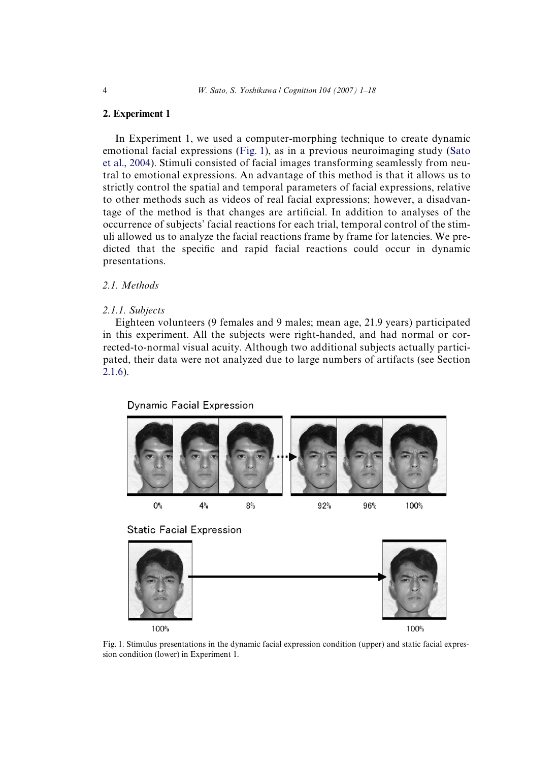#### **2. Experiment 1**

In Experiment 1, we used a computer-morphing technique to create dynamic emotional facial expressions ([Fig. 1](#page-3-0)), as in a previous neuroimaging study ([Sato](#page-17-1) [et al., 2004\)](#page-17-1). Stimuli consisted of facial images transforming seamlessly from neutral to emotional expressions. An advantage of this method is that it allows us to strictly control the spatial and temporal parameters of facial expressions, relative to other methods such as videos of real facial expressions; however, a disadvantage of the method is that changes are artificial. In addition to analyses of the occurrence of subjects' facial reactions for each trial, temporal control of the stimuli allowed us to analyze the facial reactions frame by frame for latencies. We predicted that the specific and rapid facial reactions could occur in dynamic presentations.

### *2.1. Methods*

#### *2.1.1. Subjects*

Eighteen volunteers (9 females and 9 males; mean age, 21.9 years) participated in this experiment. All the subjects were right-handed, and had normal or corrected-to-normal visual acuity. Although two additional subjects actually participated, their data were not analyzed due to large numbers of artifacts (see Section [2.1.6](#page-5-0)).

Dynamic Facial Expression  $O<sup>o</sup>$  $4%$  $8%$ 92% 96% 100% **Static Facial Expression** 100% 100%

<span id="page-3-0"></span>Fig. 1. Stimulus presentations in the dynamic facial expression condition (upper) and static facial expression condition (lower) in Experiment 1.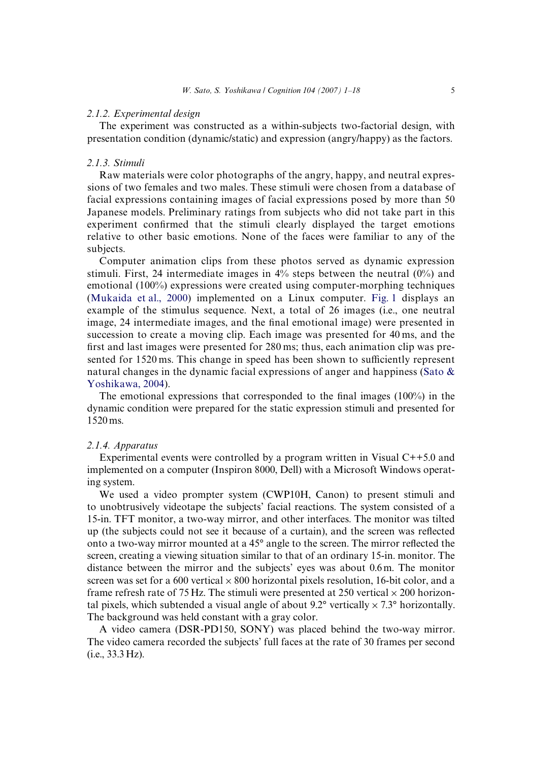#### *2.1.2. Experimental design*

The experiment was constructed as a within-subjects two-factorial design, with presentation condition (dynamic/static) and expression (angry/happy) as the factors.

#### *2.1.3. Stimuli*

Raw materials were color photographs of the angry, happy, and neutral expressions of two females and two males. These stimuli were chosen from a database of facial expressions containing images of facial expressions posed by more than 50 Japanese models. Preliminary ratings from subjects who did not take part in this experiment confirmed that the stimuli clearly displayed the target emotions relative to other basic emotions. None of the faces were familiar to any of the subjects.

Computer animation clips from these photos served as dynamic expression stimuli. First, 24 intermediate images in  $4\%$  steps between the neutral  $(0\%)$  and emotional (100%) expressions were created using computer-morphing techniques [\(Mukaida et al., 2000](#page-16-12)) implemented on a Linux computer. [Fig. 1](#page-3-0) displays an example of the stimulus sequence. Next, a total of 26 images (i.e., one neutral image, 24 intermediate images, and the final emotional image) were presented in succession to create a moving clip. Each image was presented for 40 ms, and the first and last images were presented for  $280 \,\text{ms}$ ; thus, each animation clip was presented for 1520 ms. This change in speed has been shown to sufficiently represent natural changes in the dynamic facial expressions of anger and happiness (Sato  $\&$ [Yoshikawa, 2004](#page-17-2)).

The emotional expressions that corresponded to the final images  $(100\%)$  in the dynamic condition were prepared for the static expression stimuli and presented for 1520 ms.

#### *2.1.4. Apparatus*

Experimental events were controlled by a program written in Visual C++5.0 and implemented on a computer (Inspiron 8000, Dell) with a Microsoft Windows operating system.

We used a video prompter system (CWP10H, Canon) to present stimuli and to unobtrusively videotape the subjects' facial reactions. The system consisted of a 15-in. TFT monitor, a two-way mirror, and other interfaces. The monitor was tilted up (the subjects could not see it because of a curtain), and the screen was reflected onto a two-way mirror mounted at a  $45^{\circ}$  angle to the screen. The mirror reflected the screen, creating a viewing situation similar to that of an ordinary 15-in. monitor. The distance between the mirror and the subjects' eyes was about 0.6 m. The monitor screen was set for a 600 vertical  $\times$  800 horizontal pixels resolution, 16-bit color, and a frame refresh rate of 75 Hz. The stimuli were presented at 250 vertical  $\times$  200 horizontal pixels, which subtended a visual angle of about  $9.2^\circ$  vertically  $\times 7.3^\circ$  horizontally. The background was held constant with a gray color.

A video camera (DSR-PD150, SONY) was placed behind the two-way mirror. The video camera recorded the subjects' full faces at the rate of 30 frames per second (i.e., 33.3 Hz).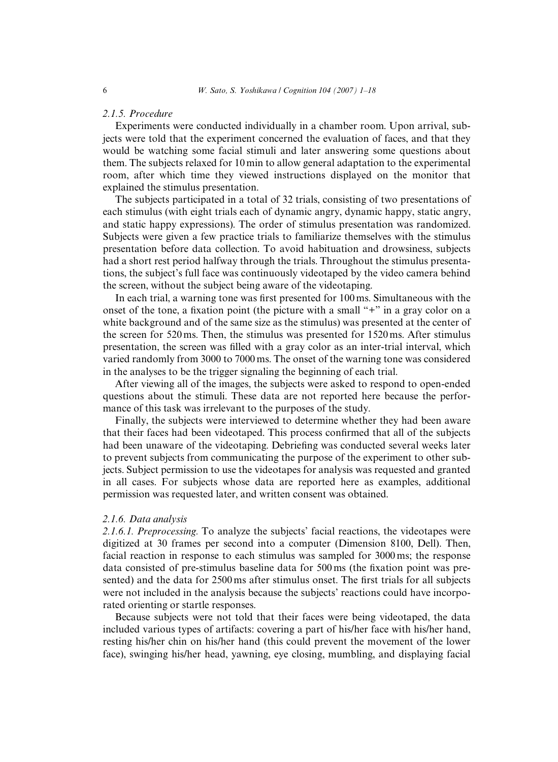#### *2.1.5. Procedure*

Experiments were conducted individually in a chamber room. Upon arrival, subjects were told that the experiment concerned the evaluation of faces, and that they would be watching some facial stimuli and later answering some questions about them. The subjects relaxed for 10 min to allow general adaptation to the experimental room, after which time they viewed instructions displayed on the monitor that explained the stimulus presentation.

The subjects participated in a total of 32 trials, consisting of two presentations of each stimulus (with eight trials each of dynamic angry, dynamic happy, static angry, and static happy expressions). The order of stimulus presentation was randomized. Subjects were given a few practice trials to familiarize themselves with the stimulus presentation before data collection. To avoid habituation and drowsiness, subjects had a short rest period halfway through the trials. Throughout the stimulus presentations, the subject's full face was continuously videotaped by the video camera behind the screen, without the subject being aware of the videotaping.

In each trial, a warning tone was first presented for 100 ms. Simultaneous with the onset of the tone, a fixation point (the picture with a small "+" in a gray color on a white background and of the same size as the stimulus) was presented at the center of the screen for 520 ms. Then, the stimulus was presented for 1520 ms. After stimulus presentation, the screen was filled with a gray color as an inter-trial interval, which varied randomly from 3000 to 7000 ms. The onset of the warning tone was considered in the analyses to be the trigger signaling the beginning of each trial.

After viewing all of the images, the subjects were asked to respond to open-ended questions about the stimuli. These data are not reported here because the performance of this task was irrelevant to the purposes of the study.

Finally, the subjects were interviewed to determine whether they had been aware that their faces had been videotaped. This process confirmed that all of the subjects had been unaware of the videotaping. Debriefing was conducted several weeks later to prevent subjects from communicating the purpose of the experiment to other subjects. Subject permission to use the videotapes for analysis was requested and granted in all cases. For subjects whose data are reported here as examples, additional permission was requested later, and written consent was obtained.

#### <span id="page-5-0"></span>*2.1.6. Data analysis*

*2.1.6.1. Preprocessing.* To analyze the subjects' facial reactions, the videotapes were digitized at 30 frames per second into a computer (Dimension 8100, Dell). Then, facial reaction in response to each stimulus was sampled for 3000 ms; the response data consisted of pre-stimulus baseline data for  $500 \,\text{ms}$  (the fixation point was presented) and the data for 2500 ms after stimulus onset. The first trials for all subjects were not included in the analysis because the subjects' reactions could have incorporated orienting or startle responses.

Because subjects were not told that their faces were being videotaped, the data included various types of artifacts: covering a part of his/her face with his/her hand, resting his/her chin on his/her hand (this could prevent the movement of the lower face), swinging his/her head, yawning, eye closing, mumbling, and displaying facial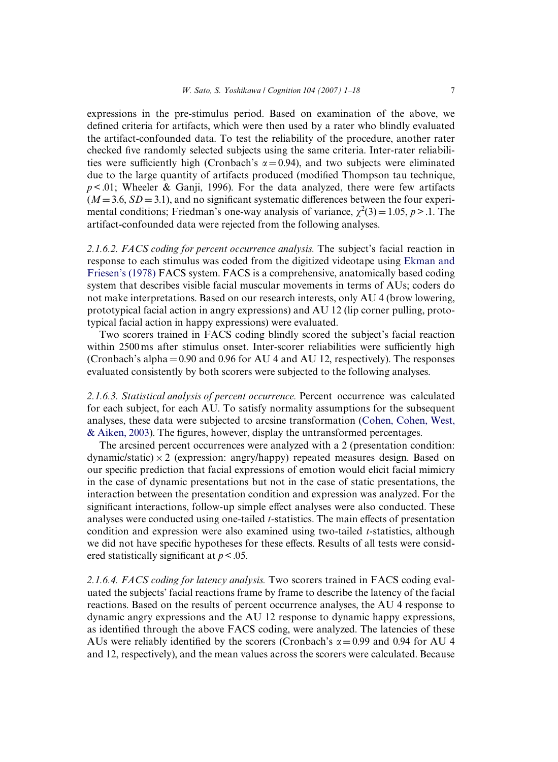expressions in the pre-stimulus period. Based on examination of the above, we defined criteria for artifacts, which were then used by a rater who blindly evaluated the artifact-confounded data. To test the reliability of the procedure, another rater checked five randomly selected subjects using the same criteria. Inter-rater reliabilities were sufficiently high (Cronbach's  $\alpha = 0.94$ ), and two subjects were eliminated due to the large quantity of artifacts produced (modified Thompson tau technique,  $p < .01$ ; Wheeler & Ganji, 1996). For the data analyzed, there were few artifacts  $(M=3.6, SD=3.1)$ , and no significant systematic differences between the four experimental conditions; Friedman's one-way analysis of variance,  $\chi^2(3) = 1.05$ ,  $p > 0.1$ . The artifact-confounded data were rejected from the following analyses.

*2.1.6.2. FACS coding for percent occurrence analysis.* The subject's facial reaction in response to each stimulus was coded from the digitized videotape using [Ekman and](#page-16-11) [Friesen's \(1978\)](#page-16-11) FACS system. FACS is a comprehensive, anatomically based coding system that describes visible facial muscular movements in terms of AUs; coders do not make interpretations. Based on our research interests, only AU 4 (brow lowering, prototypical facial action in angry expressions) and AU 12 (lip corner pulling, prototypical facial action in happy expressions) were evaluated.

Two scorers trained in FACS coding blindly scored the subject's facial reaction within 2500 ms after stimulus onset. Inter-scorer reliabilities were sufficiently high (Cronbach's alpha $= 0.90$  and 0.96 for AU 4 and AU 12, respectively). The responses evaluated consistently by both scorers were subjected to the following analyses.

*2.1.6.3. Statistical analysis of percent occurrence.* Percent occurrence was calculated for each subject, for each AU. To satisfy normality assumptions for the subsequent analyses, these data were subjected to arcsine transformation [\(Cohen, Cohen, West,](#page-16-13)  $&$  Aiken, 2003). The figures, however, display the untransformed percentages.

The arcsined percent occurrences were analyzed with a 2 (presentation condition: dynamic/static) $\times$  2 (expression: angry/happy) repeated measures design. Based on our specific prediction that facial expressions of emotion would elicit facial mimicry in the case of dynamic presentations but not in the case of static presentations, the interaction between the presentation condition and expression was analyzed. For the significant interactions, follow-up simple effect analyses were also conducted. These analyses were conducted using one-tailed *t*-statistics. The main effects of presentation condition and expression were also examined using two-tailed *t*-statistics, although we did not have specific hypotheses for these effects. Results of all tests were considered statistically significant at  $p < .05$ .

*2.1.6.4. FACS coding for latency analysis.* Two scorers trained in FACS coding evaluated the subjects' facial reactions frame by frame to describe the latency of the facial reactions. Based on the results of percent occurrence analyses, the AU 4 response to dynamic angry expressions and the AU 12 response to dynamic happy expressions, as identified through the above FACS coding, were analyzed. The latencies of these AUs were reliably identified by the scorers (Cronbach's  $\alpha = 0.99$  and 0.94 for AU 4 and 12, respectively), and the mean values across the scorers were calculated. Because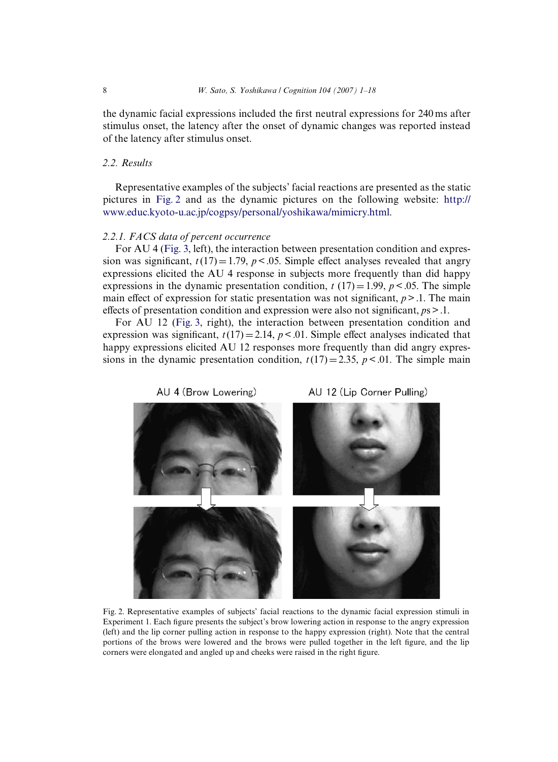the dynamic facial expressions included the first neutral expressions for 240 ms after stimulus onset, the latency after the onset of dynamic changes was reported instead of the latency after stimulus onset.

#### *2.2. Results*

Representative examples of the subjects' facial reactions are presented as the static pictures in [Fig. 2](#page-7-0) and as the dynamic pictures on the following website: [http://](http://www.educ.kyoto-u.ac.jp/cogpsy/personal/yoshikawa/mimicry.html) [www.educ.kyoto-u.ac.jp/cogpsy/personal/yoshikawa/mimicry.html](http://www.educ.kyoto-u.ac.jp/cogpsy/personal/yoshikawa/mimicry.html).

#### *2.2.1. FACS data of percent occurrence*

For AU 4 ([Fig. 3,](#page-8-0) left), the interaction between presentation condition and expression was significant,  $t(17) = 1.79$ ,  $p < .05$ . Simple effect analyses revealed that angry expressions elicited the AU 4 response in subjects more frequently than did happy expressions in the dynamic presentation condition,  $t(17) = 1.99$ ,  $p < .05$ . The simple main effect of expression for static presentation was not significant,  $p > 0.1$ . The main effects of presentation condition and expression were also not significant,  $p_s$  > .1.

For AU 12 [\(Fig. 3](#page-8-0), right), the interaction between presentation condition and expression was significant,  $t(17) = 2.14$ ,  $p < 0.01$ . Simple effect analyses indicated that happy expressions elicited AU 12 responses more frequently than did angry expressions in the dynamic presentation condition,  $t(17)=2.35$ ,  $p<.01$ . The simple main



<span id="page-7-0"></span>Fig. 2. Representative examples of subjects' facial reactions to the dynamic facial expression stimuli in Experiment 1. Each figure presents the subject's brow lowering action in response to the angry expression (left) and the lip corner pulling action in response to the happy expression (right). Note that the central portions of the brows were lowered and the brows were pulled together in the left figure, and the lip corners were elongated and angled up and cheeks were raised in the right figure.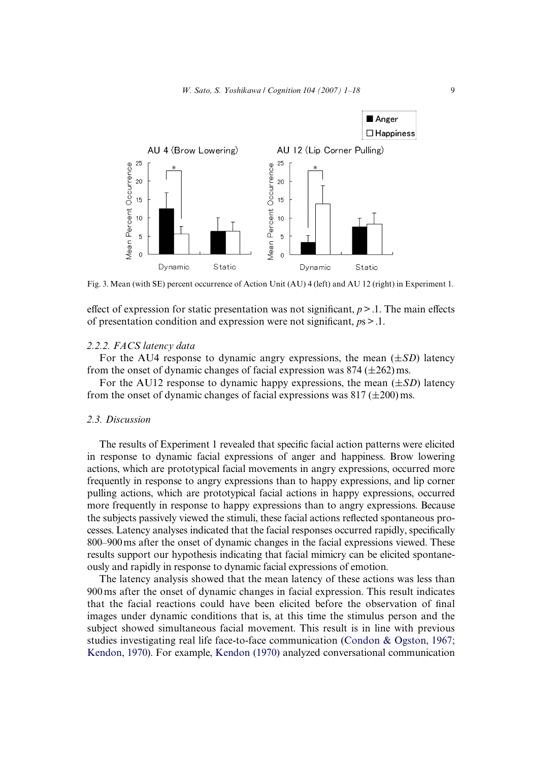

<span id="page-8-0"></span>Fig. 3. Mean (with SE) percent occurrence of Action Unit (AU) 4 (left) and AU 12 (right) in Experiment 1.

effect of expression for static presentation was not significant,  $p > 0.1$ . The main effects of presentation condition and expression were not significant,  $p_s$  > .1.

#### *2.2.2. FACS latency data*

For the AU4 response to dynamic angry expressions, the mean  $(\pm SD)$  latency from the onset of dynamic changes of facial expression was  $874 \times (262)$  ms.

For the AU12 response to dynamic happy expressions, the mean  $(\pm SD)$  latency from the onset of dynamic changes of facial expressions was  $817 (\pm 200)$  ms.

#### *2.3. Discussion*

The results of Experiment 1 revealed that specific facial action patterns were elicited in response to dynamic facial expressions of anger and happiness. Brow lowering actions, which are prototypical facial movements in angry expressions, occurred more frequently in response to angry expressions than to happy expressions, and lip corner pulling actions, which are prototypical facial actions in happy expressions, occurred more frequently in response to happy expressions than to angry expressions. Because the subjects passively viewed the stimuli, these facial actions reflected spontaneous processes. Latency analyses indicated that the facial responses occurred rapidly, specifically 800–900 ms after the onset of dynamic changes in the facial expressions viewed. These results support our hypothesis indicating that facial mimicry can be elicited spontaneously and rapidly in response to dynamic facial expressions of emotion.

The latency analysis showed that the mean latency of these actions was less than 900 ms after the onset of dynamic changes in facial expression. This result indicates that the facial reactions could have been elicited before the observation of final images under dynamic conditions that is, at this time the stimulus person and the subject showed simultaneous facial movement. This result is in line with previous studies investigating real life face-to-face communication ([Condon & Ogston, 1967;](#page-16-14) [Kendon, 1970\)](#page-16-14). For example, [Kendon \(1970\)](#page-16-15) analyzed conversational communication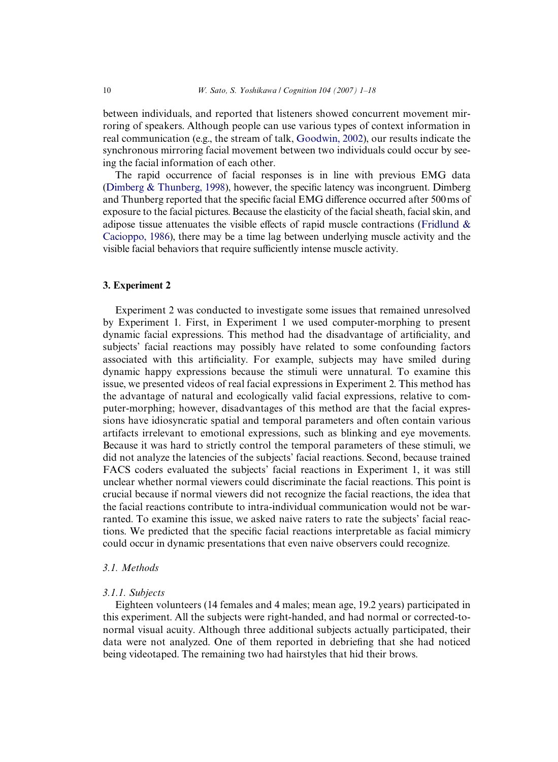between individuals, and reported that listeners showed concurrent movement mirroring of speakers. Although people can use various types of context information in real communication (e.g., the stream of talk, [Goodwin, 2002](#page-16-16)), our results indicate the synchronous mirroring facial movement between two individuals could occur by seeing the facial information of each other.

The rapid occurrence of facial responses is in line with previous EMG data (Dimberg  $\&$  Thunberg, 1998), however, the specific latency was incongruent. Dimberg and Thunberg reported that the specific facial EMG difference occurred after 500 ms of exposure to the facial pictures. Because the elasticity of the facial sheath, facial skin, and adipose tissue attenuates the visible effects of rapid muscle contractions (Fridlund  $\&$ [Cacioppo, 1986](#page-16-17)), there may be a time lag between underlying muscle activity and the visible facial behaviors that require sufficiently intense muscle activity.

#### **3. Experiment 2**

Experiment 2 was conducted to investigate some issues that remained unresolved by Experiment 1. First, in Experiment 1 we used computer-morphing to present dynamic facial expressions. This method had the disadvantage of artificiality, and subjects' facial reactions may possibly have related to some confounding factors associated with this artificiality. For example, subjects may have smiled during dynamic happy expressions because the stimuli were unnatural. To examine this issue, we presented videos of real facial expressions in Experiment 2. This method has the advantage of natural and ecologically valid facial expressions, relative to computer-morphing; however, disadvantages of this method are that the facial expressions have idiosyncratic spatial and temporal parameters and often contain various artifacts irrelevant to emotional expressions, such as blinking and eye movements. Because it was hard to strictly control the temporal parameters of these stimuli, we did not analyze the latencies of the subjects' facial reactions. Second, because trained FACS coders evaluated the subjects' facial reactions in Experiment 1, it was still unclear whether normal viewers could discriminate the facial reactions. This point is crucial because if normal viewers did not recognize the facial reactions, the idea that the facial reactions contribute to intra-individual communication would not be warranted. To examine this issue, we asked naive raters to rate the subjects' facial reactions. We predicted that the specific facial reactions interpretable as facial mimicry could occur in dynamic presentations that even naive observers could recognize.

#### *3.1. Methods*

#### *3.1.1. Subjects*

Eighteen volunteers (14 females and 4 males; mean age, 19.2 years) participated in this experiment. All the subjects were right-handed, and had normal or corrected-tonormal visual acuity. Although three additional subjects actually participated, their data were not analyzed. One of them reported in debriefing that she had noticed being videotaped. The remaining two had hairstyles that hid their brows.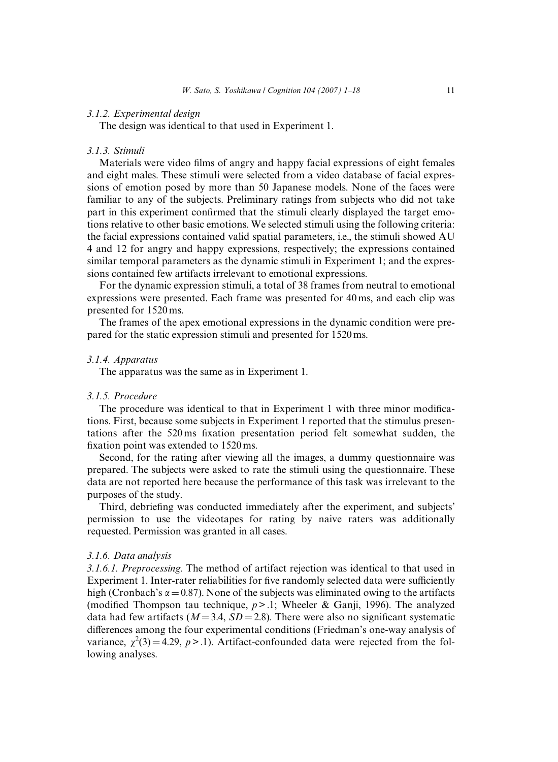#### *3.1.2. Experimental design*

The design was identical to that used in Experiment 1.

#### *3.1.3. Stimuli*

Materials were video films of angry and happy facial expressions of eight females and eight males. These stimuli were selected from a video database of facial expressions of emotion posed by more than 50 Japanese models. None of the faces were familiar to any of the subjects. Preliminary ratings from subjects who did not take part in this experiment confirmed that the stimuli clearly displayed the target emotions relative to other basic emotions. We selected stimuli using the following criteria: the facial expressions contained valid spatial parameters, i.e., the stimuli showed AU 4 and 12 for angry and happy expressions, respectively; the expressions contained similar temporal parameters as the dynamic stimuli in Experiment 1; and the expressions contained few artifacts irrelevant to emotional expressions.

For the dynamic expression stimuli, a total of 38 frames from neutral to emotional expressions were presented. Each frame was presented for 40 ms, and each clip was presented for 1520 ms.

The frames of the apex emotional expressions in the dynamic condition were prepared for the static expression stimuli and presented for 1520 ms.

#### *3.1.4. Apparatus*

The apparatus was the same as in Experiment 1.

#### *3.1.5. Procedure*

The procedure was identical to that in Experiment 1 with three minor modifications. First, because some subjects in Experiment 1 reported that the stimulus presentations after the 520 ms fixation presentation period felt somewhat sudden, the fixation point was extended to 1520 ms.

Second, for the rating after viewing all the images, a dummy questionnaire was prepared. The subjects were asked to rate the stimuli using the questionnaire. These data are not reported here because the performance of this task was irrelevant to the purposes of the study.

Third, debriefing was conducted immediately after the experiment, and subjects' permission to use the videotapes for rating by naive raters was additionally requested. Permission was granted in all cases.

#### *3.1.6. Data analysis*

*3.1.6.1. Preprocessing.* The method of artifact rejection was identical to that used in Experiment 1. Inter-rater reliabilities for five randomly selected data were sufficiently high (Cronbach's  $\alpha = 0.87$ ). None of the subjects was eliminated owing to the artifacts (modified Thompson tau technique,  $p > 0.1$ ; Wheeler & Ganji, 1996). The analyzed data had few artifacts ( $M = 3.4$ ,  $SD = 2.8$ ). There were also no significant systematic differences among the four experimental conditions (Friedman's one-way analysis of variance,  $\chi^2(3) = 4.29$ ,  $p > 0.1$ ). Artifact-confounded data were rejected from the following analyses.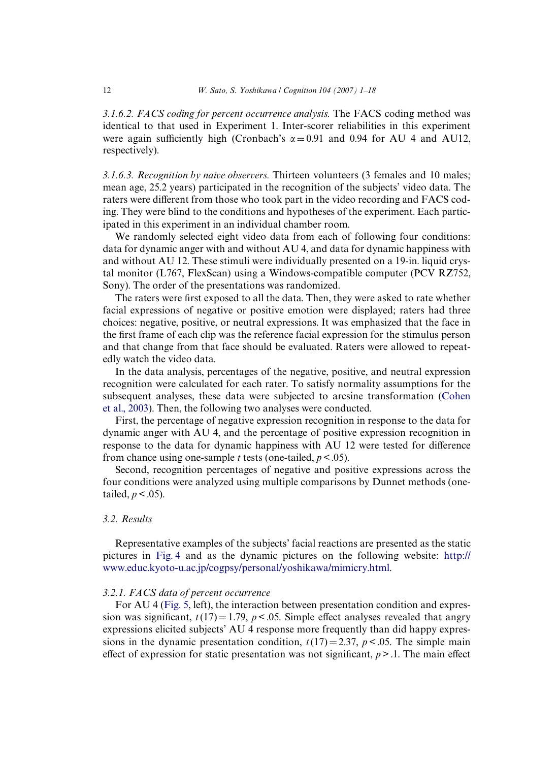*3.1.6.2. FACS coding for percent occurrence analysis.* The FACS coding method was identical to that used in Experiment 1. Inter-scorer reliabilities in this experiment were again sufficiently high (Cronbach's  $\alpha = 0.91$  and 0.94 for AU 4 and AU12, respectively).

*3.1.6.3. Recognition by naive observers.* Thirteen volunteers (3 females and 10 males; mean age, 25.2 years) participated in the recognition of the subjects' video data. The raters were different from those who took part in the video recording and FACS coding. They were blind to the conditions and hypotheses of the experiment. Each participated in this experiment in an individual chamber room.

We randomly selected eight video data from each of following four conditions: data for dynamic anger with and without AU 4, and data for dynamic happiness with and without AU 12. These stimuli were individually presented on a 19-in. liquid crystal monitor (L767, FlexScan) using a Windows-compatible computer (PCV RZ752, Sony). The order of the presentations was randomized.

The raters were first exposed to all the data. Then, they were asked to rate whether facial expressions of negative or positive emotion were displayed; raters had three choices: negative, positive, or neutral expressions. It was emphasized that the face in the first frame of each clip was the reference facial expression for the stimulus person and that change from that face should be evaluated. Raters were allowed to repeatedly watch the video data.

In the data analysis, percentages of the negative, positive, and neutral expression recognition were calculated for each rater. To satisfy normality assumptions for the subsequent analyses, these data were subjected to arcsine transformation ([Cohen](#page-16-13) [et al., 2003\)](#page-16-13). Then, the following two analyses were conducted.

First, the percentage of negative expression recognition in response to the data for dynamic anger with AU 4, and the percentage of positive expression recognition in response to the data for dynamic happiness with AU 12 were tested for difference from chance using one-sample *t* tests (one-tailed,  $p < .05$ ).

Second, recognition percentages of negative and positive expressions across the four conditions were analyzed using multiple comparisons by Dunnet methods (onetailed,  $p < .05$ ).

### *3.2. Results*

Representative examples of the subjects' facial reactions are presented as the static pictures in [Fig. 4](#page-12-0) and as the dynamic pictures on the following website: [http://](http://www.educ.kyoto-u.ac.jp/cogpsy/personal/yoshikawa/mimicry.html) [www.educ.kyoto-u.ac.jp/cogpsy/personal/yoshikawa/mimicry.html](http://www.educ.kyoto-u.ac.jp/cogpsy/personal/yoshikawa/mimicry.html).

#### *3.2.1. FACS data of percent occurrence*

For AU 4 ([Fig. 5,](#page-12-1) left), the interaction between presentation condition and expression was significant,  $t(17)=1.79$ ,  $p < .05$ . Simple effect analyses revealed that angry expressions elicited subjects' AU 4 response more frequently than did happy expressions in the dynamic presentation condition,  $t(17)=2.37$ ,  $p<0.05$ . The simple main effect of expression for static presentation was not significant,  $p > 0.1$ . The main effect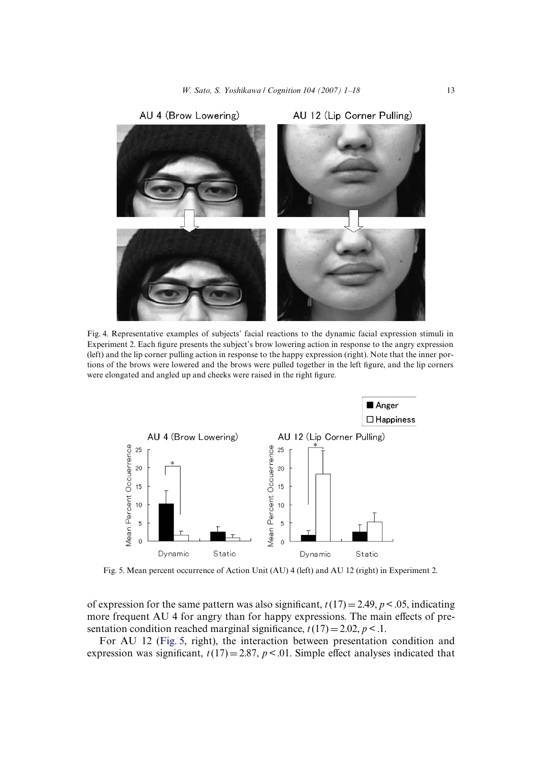

<span id="page-12-0"></span>Fig. 4. Representative examples of subjects' facial reactions to the dynamic facial expression stimuli in Experiment 2. Each figure presents the subject's brow lowering action in response to the angry expression (left) and the lip corner pulling action in response to the happy expression (right). Note that the inner portions of the brows were lowered and the brows were pulled together in the left figure, and the lip corners were elongated and angled up and cheeks were raised in the right figure.



<span id="page-12-1"></span>Fig. 5. Mean percent occurrence of Action Unit (AU) 4 (left) and AU 12 (right) in Experiment 2.

of expression for the same pattern was also significant,  $t(17)=2.49$ ,  $p<.05$ , indicating more frequent AU 4 for angry than for happy expressions. The main effects of presentation condition reached marginal significance,  $t(17) = 2.02$ ,  $p < 1$ .

For AU 12 ([Fig. 5,](#page-12-1) right), the interaction between presentation condition and expression was significant,  $t(17) = 2.87$ ,  $p < 0.01$ . Simple effect analyses indicated that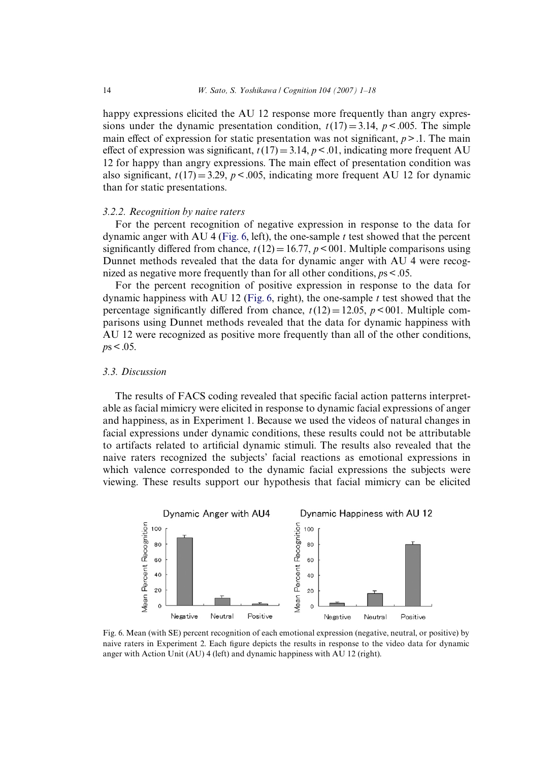happy expressions elicited the AU 12 response more frequently than angry expressions under the dynamic presentation condition,  $t(17) = 3.14$ ,  $p < .005$ . The simple main effect of expression for static presentation was not significant,  $p > 0.1$ . The main effect of expression was significant,  $t(17) = 3.14$ ,  $p < .01$ , indicating more frequent AU 12 for happy than angry expressions. The main effect of presentation condition was also significant,  $t(17) = 3.29$ ,  $p < .005$ , indicating more frequent AU 12 for dynamic than for static presentations.

#### *3.2.2. Recognition by naive raters*

For the percent recognition of negative expression in response to the data for dynamic anger with AU 4 [\(Fig. 6](#page-13-0), left), the one-sample *t* test showed that the percent significantly differed from chance,  $t(12) = 16.77$ ,  $p < 001$ . Multiple comparisons using Dunnet methods revealed that the data for dynamic anger with AU 4 were recognized as negative more frequently than for all other conditions, *p*s < .05.

For the percent recognition of positive expression in response to the data for dynamic happiness with AU 12 [\(Fig. 6](#page-13-0), right), the one-sample *t* test showed that the percentage significantly differed from chance,  $t(12)=12.05$ ,  $p<001$ . Multiple comparisons using Dunnet methods revealed that the data for dynamic happiness with AU 12 were recognized as positive more frequently than all of the other conditions,  $p s < .05$ .

#### *3.3. Discussion*

The results of FACS coding revealed that specific facial action patterns interpretable as facial mimicry were elicited in response to dynamic facial expressions of anger and happiness, as in Experiment 1. Because we used the videos of natural changes in facial expressions under dynamic conditions, these results could not be attributable to artifacts related to artificial dynamic stimuli. The results also revealed that the naive raters recognized the subjects' facial reactions as emotional expressions in which valence corresponded to the dynamic facial expressions the subjects were viewing. These results support our hypothesis that facial mimicry can be elicited



<span id="page-13-0"></span>Fig. 6. Mean (with SE) percent recognition of each emotional expression (negative, neutral, or positive) by naive raters in Experiment 2. Each figure depicts the results in response to the video data for dynamic anger with Action Unit (AU) 4 (left) and dynamic happiness with AU 12 (right).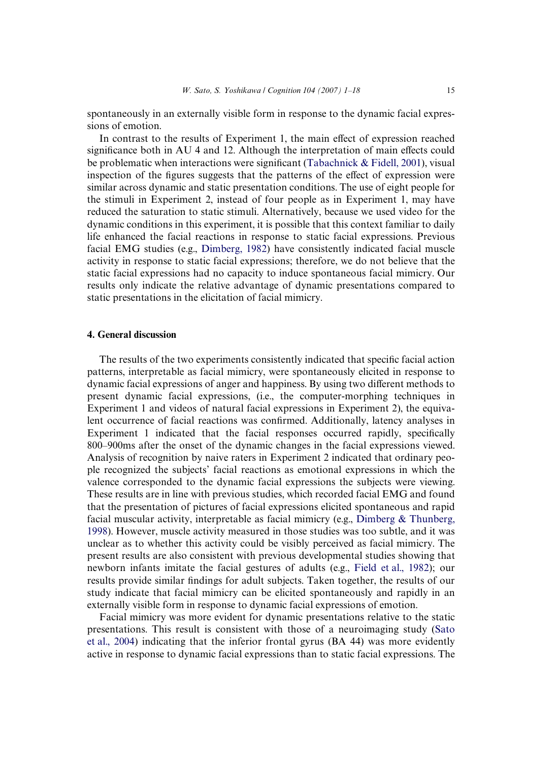spontaneously in an externally visible form in response to the dynamic facial expressions of emotion.

In contrast to the results of Experiment 1, the main effect of expression reached significance both in AU 4 and 12. Although the interpretation of main effects could be problematic when interactions were significant (Tabachnick  $&$  Fidell, 2001), visual inspection of the figures suggests that the patterns of the effect of expression were similar across dynamic and static presentation conditions. The use of eight people for the stimuli in Experiment 2, instead of four people as in Experiment 1, may have reduced the saturation to static stimuli. Alternatively, because we used video for the dynamic conditions in this experiment, it is possible that this context familiar to daily life enhanced the facial reactions in response to static facial expressions. Previous facial EMG studies (e.g., [Dimberg, 1982](#page-16-1)) have consistently indicated facial muscle activity in response to static facial expressions; therefore, we do not believe that the static facial expressions had no capacity to induce spontaneous facial mimicry. Our results only indicate the relative advantage of dynamic presentations compared to static presentations in the elicitation of facial mimicry.

#### **4. General discussion**

The results of the two experiments consistently indicated that specific facial action patterns, interpretable as facial mimicry, were spontaneously elicited in response to dynamic facial expressions of anger and happiness. By using two different methods to present dynamic facial expressions, (i.e., the computer-morphing techniques in Experiment 1 and videos of natural facial expressions in Experiment 2), the equivalent occurrence of facial reactions was confirmed. Additionally, latency analyses in Experiment 1 indicated that the facial responses occurred rapidly, specifically 800–900ms after the onset of the dynamic changes in the facial expressions viewed. Analysis of recognition by naive raters in Experiment 2 indicated that ordinary people recognized the subjects' facial reactions as emotional expressions in which the valence corresponded to the dynamic facial expressions the subjects were viewing. These results are in line with previous studies, which recorded facial EMG and found that the presentation of pictures of facial expressions elicited spontaneous and rapid facial muscular activity, interpretable as facial mimicry (e.g., [Dimberg & Thunberg,](#page-16-4) [1998](#page-16-4)). However, muscle activity measured in those studies was too subtle, and it was unclear as to whether this activity could be visibly perceived as facial mimicry. The present results are also consistent with previous developmental studies showing that newborn infants imitate the facial gestures of adults (e.g., [Field et al., 1982](#page-16-18)); our results provide similar findings for adult subjects. Taken together, the results of our study indicate that facial mimicry can be elicited spontaneously and rapidly in an externally visible form in response to dynamic facial expressions of emotion.

Facial mimicry was more evident for dynamic presentations relative to the static presentations. This result is consistent with those of a neuroimaging study [\(Sato](#page-17-1) [et al., 2004](#page-17-1)) indicating that the inferior frontal gyrus (BA 44) was more evidently active in response to dynamic facial expressions than to static facial expressions. The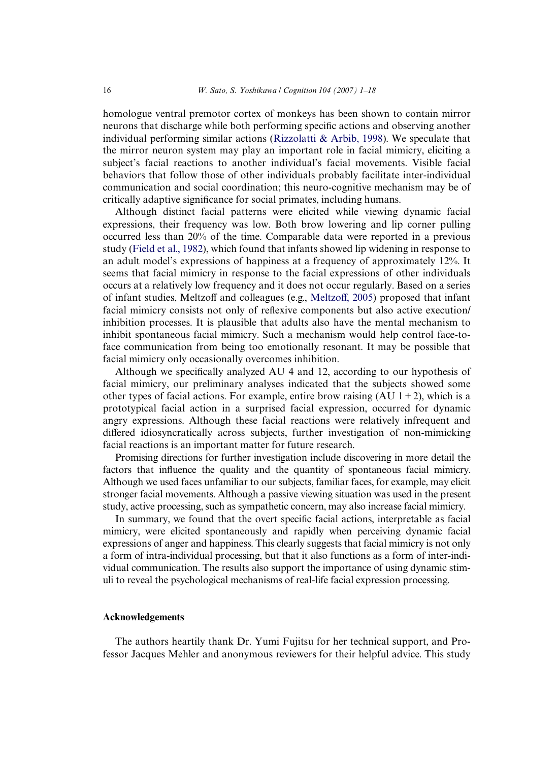homologue ventral premotor cortex of monkeys has been shown to contain mirror neurons that discharge while both performing specific actions and observing another individual performing similar actions ([Rizzolatti & Arbib, 1998\)](#page-17-0). We speculate that the mirror neuron system may play an important role in facial mimicry, eliciting a subject's facial reactions to another individual's facial movements. Visible facial behaviors that follow those of other individuals probably facilitate inter-individual communication and social coordination; this neuro-cognitive mechanism may be of critically adaptive significance for social primates, including humans.

Although distinct facial patterns were elicited while viewing dynamic facial expressions, their frequency was low. Both brow lowering and lip corner pulling occurred less than 20% of the time. Comparable data were reported in a previous study [\(Field et al., 1982\)](#page-16-18), which found that infants showed lip widening in response to an adult model's expressions of happiness at a frequency of approximately 12%. It seems that facial mimicry in response to the facial expressions of other individuals occurs at a relatively low frequency and it does not occur regularly. Based on a series of infant studies, [Meltzo](#page-16-19)ff and colleagues (e.g., Meltzoff[, 2005\)](#page-16-19) proposed that infant facial mimicry consists not only of reflexive components but also active execution/ inhibition processes. It is plausible that adults also have the mental mechanism to inhibit spontaneous facial mimicry. Such a mechanism would help control face-toface communication from being too emotionally resonant. It may be possible that facial mimicry only occasionally overcomes inhibition.

Although we specifically analyzed AU 4 and 12, according to our hypothesis of facial mimicry, our preliminary analyses indicated that the subjects showed some other types of facial actions. For example, entire brow raising  $(AU 1 + 2)$ , which is a prototypical facial action in a surprised facial expression, occurred for dynamic angry expressions. Although these facial reactions were relatively infrequent and differed idiosyncratically across subjects, further investigation of non-mimicking facial reactions is an important matter for future research.

Promising directions for further investigation include discovering in more detail the factors that influence the quality and the quantity of spontaneous facial mimicry. Although we used faces unfamiliar to our subjects, familiar faces, for example, may elicit stronger facial movements. Although a passive viewing situation was used in the present study, active processing, such as sympathetic concern, may also increase facial mimicry.

In summary, we found that the overt specific facial actions, interpretable as facial mimicry, were elicited spontaneously and rapidly when perceiving dynamic facial expressions of anger and happiness. This clearly suggests that facial mimicry is not only a form of intra-individual processing, but that it also functions as a form of inter-individual communication. The results also support the importance of using dynamic stimuli to reveal the psychological mechanisms of real-life facial expression processing.

#### **Acknowledgements**

The authors heartily thank Dr. Yumi Fujitsu for her technical support, and Professor Jacques Mehler and anonymous reviewers for their helpful advice. This study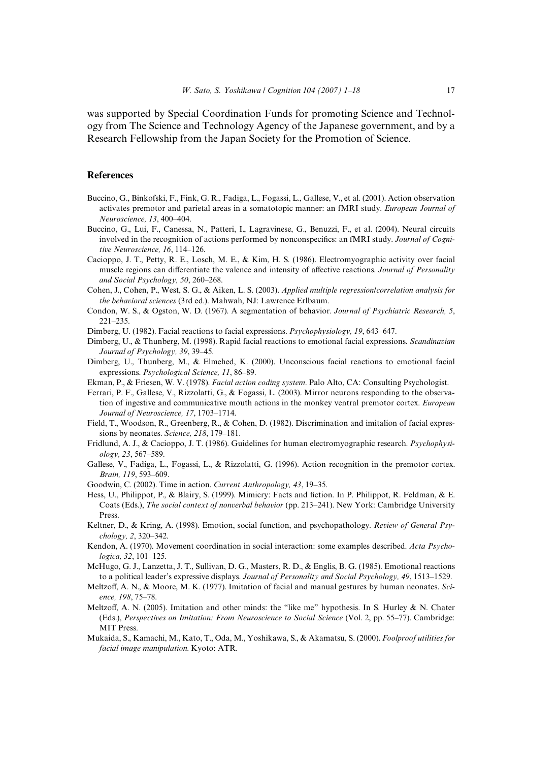was supported by Special Coordination Funds for promoting Science and Technology from The Science and Technology Agency of the Japanese government, and by a Research Fellowship from the Japan Society for the Promotion of Science.

#### **References**

- <span id="page-16-9"></span>Buccino, G., Binkofski, F., Fink, G. R., Fadiga, L., Fogassi, L., Gallese, V., et al. (2001). Action observation activates premotor and parietal areas in a somatotopic manner: an fMRI study. *European Journal of Neuroscience, 13*, 400–404.
- Buccino, G., Lui, F., Canessa, N., Patteri, I., Lagravinese, G., Benuzzi, F., et al. (2004). Neural circuits involved in the recognition of actions performed by nonconspecifics: an fMRI study. *Journal of Cognitive Neuroscience, 16*, 114–126.
- <span id="page-16-6"></span>Cacioppo, J. T., Petty, R. E., Losch, M. E., & Kim, H. S. (1986). Electromyographic activity over facial muscle regions can differentiate the valence and intensity of affective reactions. Journal of Personality *and Social Psychology, 50*, 260–268.
- <span id="page-16-13"></span>Cohen, J., Cohen, P., West, S. G., & Aiken, L. S. (2003). *Applied multiple regression/correlation analysis for the behavioral sciences* (3rd ed.). Mahwah, NJ: Lawrence Erlbaum.
- <span id="page-16-14"></span>Condon, W. S., & Ogston, W. D. (1967). A segmentation of behavior. *Journal of Psychiatric Research, 5*, 221–235.
- <span id="page-16-1"></span>Dimberg, U. (1982). Facial reactions to facial expressions. *Psychophysiology, 19*, 643–647.
- <span id="page-16-4"></span>Dimberg, U., & Thunberg, M. (1998). Rapid facial reactions to emotional facial expressions. *Scandinavian Journal of Psychology, 39*, 39–45.
- <span id="page-16-3"></span>Dimberg, U., Thunberg, M., & Elmehed, K. (2000). Unconscious facial reactions to emotional facial expressions. *Psychological Science, 11*, 86–89.
- <span id="page-16-11"></span>Ekman, P., & Friesen, W. V. (1978). *Facial action coding system*. Palo Alto, CA: Consulting Psychologist.
- <span id="page-16-8"></span>Ferrari, P. F., Gallese, V., Rizzolatti, G., & Fogassi, L. (2003). Mirror neurons responding to the observation of ingestive and communicative mouth actions in the monkey ventral premotor cortex. *European Journal of Neuroscience, 17*, 1703–1714.
- <span id="page-16-18"></span>Field, T., Woodson, R., Greenberg, R., & Cohen, D. (1982). Discrimination and imitalion of facial expressions by neonates. *Science, 218*, 179–181.
- <span id="page-16-17"></span>Fridlund, A. J., & Cacioppo, J. T. (1986). Guidelines for human electromyographic research. *Psychophysiology, 23*, 567–589.
- <span id="page-16-7"></span>Gallese, V., Fadiga, L., Fogassi, L., & Rizzolatti, G. (1996). Action recognition in the premotor cortex. *Brain, 119*, 593–609.
- <span id="page-16-16"></span>Goodwin, C. (2002). Time in action. *Current Anthropology, 43*, 19–35.
- <span id="page-16-2"></span>Hess, U., Philippot, P., & Blairy, S. (1999). Mimicry: Facts and fiction. In P. Philippot, R. Feldman, & E. Coats (Eds.), *The social context of nonverbal behavior* (pp. 213–241). New York: Cambridge University Press.
- <span id="page-16-0"></span>Keltner, D., & Kring, A. (1998). Emotion, social function, and psychopathology. *Review of General Psychology, 2*, 320–342.
- <span id="page-16-15"></span>Kendon, A. (1970). Movement coordination in social interaction: some examples described. *Acta Psychologica, 32*, 101–125.
- <span id="page-16-10"></span>McHugo, G. J., Lanzetta, J. T., Sullivan, D. G., Masters, R. D., & Englis, B. G. (1985). Emotional reactions to a political leader's expressive displays. *Journal of Personality and Social Psychology, 49*, 1513–1529.
- <span id="page-16-5"></span>Meltzoff, A. N., & Moore, M. K. (1977). Imitation of facial and manual gestures by human neonates. *Science, 198*, 75–78.
- <span id="page-16-19"></span>Meltzoff, A. N. (2005). Imitation and other minds: the "like me" hypothesis. In S. Hurley & N. Chater (Eds.), *Perspectives on Imitation: From Neuroscience to Social Science* (Vol. 2, pp. 55–77). Cambridge: MIT Press.
- <span id="page-16-12"></span>Mukaida, S., Kamachi, M., Kato, T., Oda, M., Yoshikawa, S., & Akamatsu, S. (2000). *Foolproof utilities for facial image manipulation*. Kyoto: ATR.